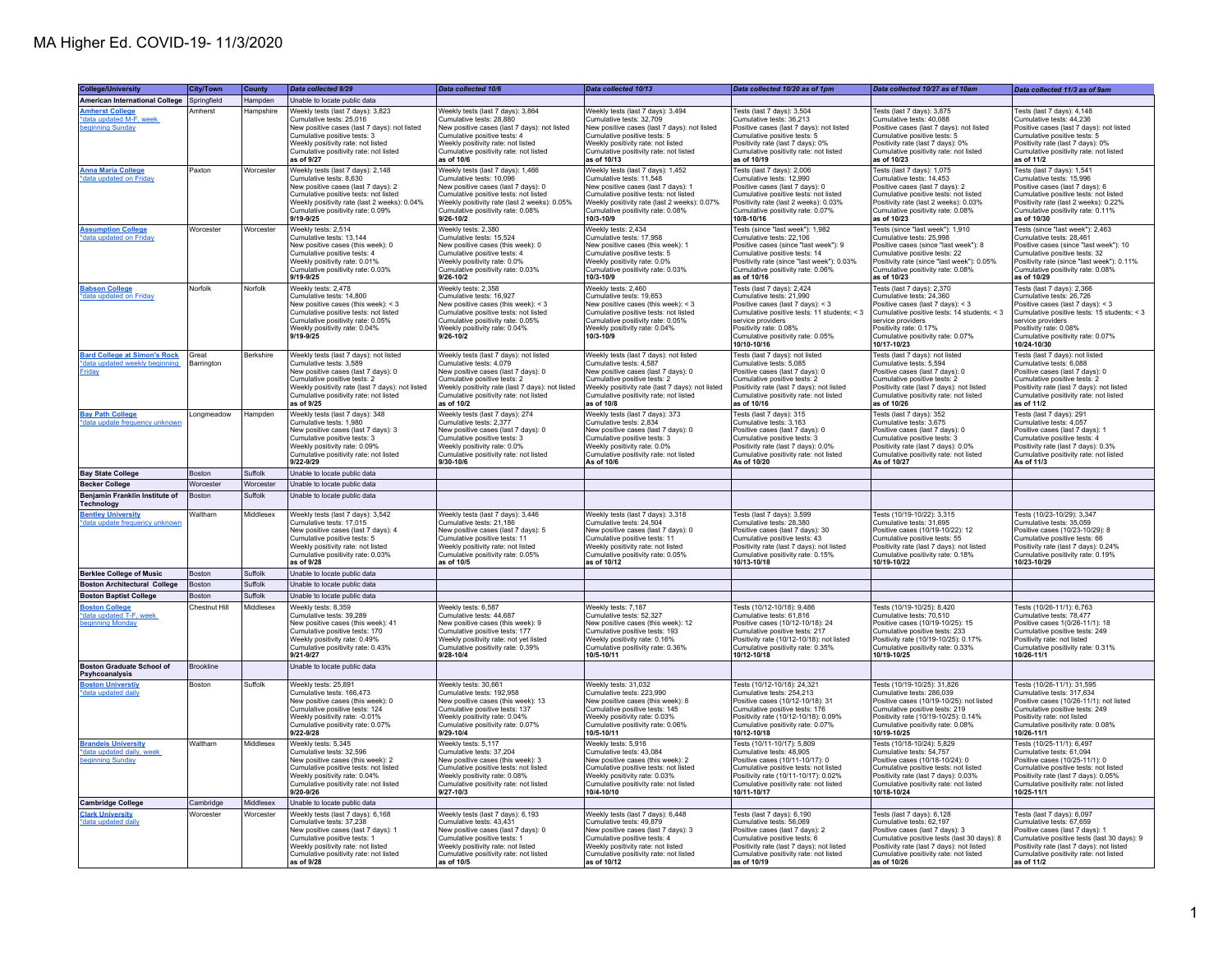| <b>College/University</b>                                                   | <b>City/Town</b>    | <b>County</b> | Data collected 9/29                                                                                                                                                                                                                                  | Data collected 10/6                                                                                                                                                                                                                                  | Data collected 10/13                                                                                                                                                                                                                                 | Data collected 10/20 as of 1pm                                                                                                                                                                                                                | Data collected 10/27 as of 10am                                                                                                                                                                                                                | Data collected 11/3 as of 9am                                                                                                                                                                                                                 |
|-----------------------------------------------------------------------------|---------------------|---------------|------------------------------------------------------------------------------------------------------------------------------------------------------------------------------------------------------------------------------------------------------|------------------------------------------------------------------------------------------------------------------------------------------------------------------------------------------------------------------------------------------------------|------------------------------------------------------------------------------------------------------------------------------------------------------------------------------------------------------------------------------------------------------|-----------------------------------------------------------------------------------------------------------------------------------------------------------------------------------------------------------------------------------------------|------------------------------------------------------------------------------------------------------------------------------------------------------------------------------------------------------------------------------------------------|-----------------------------------------------------------------------------------------------------------------------------------------------------------------------------------------------------------------------------------------------|
| <b>American International College</b>                                       | Springfield         | Hampden       | Unable to locate public data                                                                                                                                                                                                                         |                                                                                                                                                                                                                                                      |                                                                                                                                                                                                                                                      |                                                                                                                                                                                                                                               |                                                                                                                                                                                                                                                |                                                                                                                                                                                                                                               |
| <b>Amherst College</b><br>*data updated M-F, week<br>beginning Sunday       | Amherst             | Hampshire     | Weekly tests (last 7 days): 3.823<br>Cumulative tests: 25.016<br>New positive cases (last 7 days): not listed<br>Cumulative positive tests: 3<br>Weekly positivity rate: not listed<br>Cumulative positivity rate: not listed<br>as of 9/27          | Weekly tests (last 7 days): 3.864<br>Cumulative tests: 28.880<br>New positive cases (last 7 days): not listed<br>Cumulative positive tests: 4<br>Weekly positivity rate: not listed<br>Cumulative positivity rate: not listed<br>as of 10/6          | Weekly tests (last 7 days): 3 494<br>Cumulative tests: 32.709<br>New positive cases (last 7 days): not listed<br>Cumulative positive tests: 5<br>Weekly positivity rate: not listed<br>Cumulative positivity rate: not listed<br>as of 10/13         | Tests (last 7 days): 3.504<br>Cumulative tests: 36.213<br>Positive cases (last 7 days); not listed<br>Cumulative positive tests: 5<br>Positivity rate (last 7 days): 0%<br>Cumulative positivity rate: not listed<br>as of 10/19              | Tests (last 7 days): 3.875<br>Cumulative tests: 40.088<br>Positive cases (last 7 days); not listed<br>Cumulative positive tests: 5<br>Positivity rate (last 7 days): 0%<br>Cumulative positivity rate: not listed<br>as of 10/23               | Tests (last 7 days): 4.148<br>Cumulative tests: 44,236<br>Positive cases (last 7 days); not listed<br>Cumulative positive tests: 5<br>Positivity rate (last 7 days): 0%<br>Cumulative positivity rate: not listed<br>as of 11/2               |
| <b>Anna Maria College</b><br>data updated on Friday                         | Paxton              | Worcester     | Weekly tests (last 7 days): 2,148<br>Cumulative tests: 8,630<br>New positive cases (last 7 days): 2<br>Cumulative positive tests: not listed<br>Weekly positivity rate (last 2 weeks): 0.04%<br>Cumulative positivity rate: 0.09%<br>9/19-9/25       | Weekly tests (last 7 days): 1,466<br>Cumulative tests: 10.096<br>New positive cases (last 7 days): 0<br>Cumulative positive tests: not listed<br>Weekly positivity rate (last 2 weeks): 0.05%<br>Cumulative positivity rate: 0.08%<br>9/26-10/2      | Weekly tests (last 7 days): 1,452<br>Cumulative tests: 11,548<br>New positive cases (last 7 days): 1<br>Cumulative positive tests: not listed<br>Weekly positivity rate (last 2 weeks): 0.07%<br>Cumulative positivity rate: 0.08%<br>10/3-10/9      | Tests (last 7 days): 2,006<br>Cumulative tests: 12,990<br>Positive cases (last 7 days): 0<br>Cumulative positive tests: not listed<br>Positivity rate (last 2 weeks): 0.03%<br>Cumulative positivity rate: 0.07%<br>10/8-10/16                | Tests (last 7 days): 1,075<br>Cumulative tests: 14,453<br>Positive cases (last 7 days): 2<br>Cumulative positive tests: not listed<br>Positivity rate (last 2 weeks): 0.03%<br>Cumulative positivity rate: 0.08%<br>as of 10/23                | Tests (last 7 days): 1,541<br>Cumulative tests: 15.996<br>Positive cases (last 7 days): 6<br>Cumulative positive tests: not listed<br>Positivity rate (last 2 weeks): 0.22%<br>Cumulative positivity rate: 0.11%<br>as of 10/30               |
| <b>Assumption College</b><br>data undated on Friday                         | Worcester           | Worcester     | Weekly tests: 2,514<br>Cumulative tests: 13,144<br>New positive cases (this week): 0<br>Cumulative nositive tests: 4<br>Weekly positivity rate: 0.01%<br>Cumulative positivity rate: 0.03%<br>9/19-9/25                                              | Weekly tests: 2,380<br>Cumulative tests: 15,524<br>New positive cases (this week): 0<br>Cumulative positive tests: 4<br>Weekly positivity rate: 0.0%<br>Cumulative positivity rate: 0.03%<br>$9/26 - 10/2$                                           | Weekly tests: 2,434<br>Cumulative tests: 17,958<br>New positive cases (this week): 1<br>Cumulative positive tests: 5<br>Weekly positivity rate: 0.0%<br>Cumulative positivity rate: 0.03%<br>10/3-10/9                                               | Tests (since "last week"): 1,982<br>Cumulative tests: 22,106<br>Positive cases (since "last week"): 9<br>Cumulative positive tests: 14<br>Positivity rate (since "last week"): 0.03%<br>Cumulative positivity rate: 0.06%<br>as of 10/16      | Tests (since "last week"): 1,910<br>Cumulative tests: 25,998<br>Positive cases (since "last week"): 8<br>Cumulative nositive tests: 22<br>Positivity rate (since "last week"): 0.05%<br>Cumulative positivity rate: 0.08%<br>as of 10/23       | Tests (since "last week"): 2,463<br>Cumulative tests: 28,461<br>Positive cases (since "last week"): 10<br>Cumulative positive tests: 32<br>Positivity rate (since "last week"): 0.11%<br>Cumulative positivity rate: 0.08%<br>as of 10/29     |
| <b>Babson College</b><br>*data updated on Friday                            | Norfolk             | Norfolk       | Weekly tests: 2,478<br>Cumulative tests: 14.800<br>New positive cases (this week): < 3<br>Cumulative positive tests: not listed<br>Cumulative positivity rate: 0.05%<br>Weekly positivity rate: 0.04%<br>$9/19 - 9/25$                               | Weekly tests: 2,358<br>Cumulative tests: 16.927<br>New positive cases (this week): $<$ 3<br>Cumulative positive tests: not listed<br>Cumulative positivity rate: 0.05%<br>Weekly positivity rate: 0.04%<br>$9/26 - 10/2$                             | Weekly tests: 2,460<br>Cumulative tests: 19.653<br>New positive cases (this week): < 3<br>Cumulative positive tests: not listed<br>Cumulative positivity rate: 0.05%<br>Weekly positivity rate: 0.04%<br>$10/3 - 10/9$                               | Tests (last 7 days): 2,424<br>Cumulative tests: 21.990<br>Positive cases (last 7 days): < 3<br>Cumulative positive tests: 11 students; < 3<br>service providers<br>Positivity rate: 0.08%<br>Cumulative positivity rate: 0.05%<br>10/10-10/16 | Tests (last 7 days): 2,370<br>Cumulative tests: 24.360<br>Positive cases (last 7 days): < 3<br>Cumulative positive tests: 14 students; < 3<br>service providers<br>Positivity rate: 0.17%<br>Cumulative positivity rate: 0.07%<br>10/17-10/23  | Tests (last 7 days): 2,366<br>Cumulative tests: 26,726<br>Positive cases (last 7 days): < 3<br>Cumulative positive tests: 15 students; < 3<br>service providers<br>Positivity rate: 0.08%<br>Cumulative positivity rate: 0.07%<br>10/24-10/30 |
| <b>Bard College at Simon's Rock</b><br>data updated weekly begir<br>Friday  | Great<br>Barrington | Berkshire     | Weekly tests (last 7 days): not listed<br>Cumulative tests: 3,589<br>New positive cases (last 7 days): 0<br>Cumulative positive tests: 2<br>Weekly positivity rate (last 7 days): not listed<br>Cumulative positivity rate: not listed<br>as of 9/25 | Weekly tests (last 7 days): not listed<br>Cumulative tests: 4,079<br>New positive cases (last 7 days): 0<br>Cumulative positive tests: 2<br>Weekly positivity rate (last 7 days): not listed<br>Cumulative positivity rate: not listed<br>as of 10/2 | Weekly tests (last 7 days): not listed<br>Cumulative tests: 4,587<br>New positive cases (last 7 days): 0<br>Cumulative positive tests: 2<br>Weekly positivity rate (last 7 days): not listed<br>Cumulative positivity rate: not listed<br>as of 10/8 | Tests (last 7 days): not listed<br>Cumulative tests: 5,085<br>Positive cases (last 7 days): 0<br>Cumulative positive tests: 2<br>Positivity rate (last 7 days): not listed<br>Cumulative positivity rate: not listed<br>as of 10/16           | Tests (last 7 days): not listed<br>Cumulative tests: 5,594<br>Positive cases (last 7 days): 0<br>Cumulative positive tests: 2<br>Positivity rate (last 7 days): not listed<br>Cumulative positivity rate: not listed<br>as of 10/26            | Tests (last 7 days): not listed<br>Cumulative tests: 6,088<br>Positive cases (last 7 days): 0<br>Cumulative positive tests: 2<br>Positivity rate (last 7 days): not listed<br>Cumulative positivity rate: not listed<br>as of 11/2            |
| <b>Bay Path College</b><br>*data update frequency unknowr                   | Longmeadow          | Hamnden       | Weekly tests (last 7 days): 348<br>Cumulative tests: 1.980<br>New positive cases (last 7 days): 3<br>Cumulative positive tests: 3<br>Weekly positivity rate: 0.09%<br>Cumulative positivity rate: not listed<br>9/22-9/29                            | Weekly tests (last 7 days): 274<br>Cumulative tests: 2.377<br>New positive cases (last 7 days): 0<br>Cumulative positive tests: 3<br>Weekly positivity rate: 0.0%<br>Cumulative positivity rate: not listed<br>9/30-10/6                             | Weekly tests (last 7 days): 373<br>Cumulative tests: 2.834<br>New positive cases (last 7 days): 0<br>Cumulative positive tests: 3<br>Weekly positivity rate: 0.0%<br>Cumulative positivity rate: not listed<br>As of 10/6                            | Tests (last 7 days): 315<br>Cumulative tests: 3.163<br>Positive cases (last 7 days): 0<br>Cumulative positive tests: 3<br>Positivity rate (last 7 days): 0.0%<br>Cumulative positivity rate: not listed<br>As of 10/20                        | Tests (last 7 days): 352<br>Cumulative tests: 3.675<br>Positive cases (last 7 days): 0<br>Cumulative positive tests: 3<br>Positivity rate (last 7 days): 0.0%<br>Cumulative positivity rate: not listed<br>As of 10/27                         | Tests (last 7 days): 291<br>Cumulative tests: 4.057<br>Positive cases (last 7 days): 1<br>Cumulative positive tests: 4<br>Positivity rate (last 7 days): 0.3%<br>Cumulative positivity rate: not listed<br>As of 11/3                         |
| <b>Bay State College</b>                                                    | Boston              | Suffolk       | Unable to locate public data                                                                                                                                                                                                                         |                                                                                                                                                                                                                                                      |                                                                                                                                                                                                                                                      |                                                                                                                                                                                                                                               |                                                                                                                                                                                                                                                |                                                                                                                                                                                                                                               |
| <b>Becker College</b>                                                       | Worcester           | Worcester     | Unable to locate public data                                                                                                                                                                                                                         |                                                                                                                                                                                                                                                      |                                                                                                                                                                                                                                                      |                                                                                                                                                                                                                                               |                                                                                                                                                                                                                                                |                                                                                                                                                                                                                                               |
| Benjamin Franklin Institute of<br><b>Technology</b>                         | <b>Boston</b>       | Suffolk       | Unable to locate public data                                                                                                                                                                                                                         |                                                                                                                                                                                                                                                      |                                                                                                                                                                                                                                                      |                                                                                                                                                                                                                                               |                                                                                                                                                                                                                                                |                                                                                                                                                                                                                                               |
| <b>Bentley University</b><br>*data update frequency unknowr                 | Waltham             | Middlesex     | Weekly tests (last 7 days): 3,542<br>Cumulative tests: 17.015<br>New positive cases (last 7 days): 4<br>Cumulative positive tests: 5<br>Weekly positivity rate: not listed<br>Cumulative positivity rate: 0.03%<br>as of 9/28                        | Weekly tests (last 7 days): 3,446<br>Cumulative tests: 21,186<br>New positive cases (last 7 days): 5<br>Cumulative positive tests: 11<br>Weekly positivity rate: not listed<br>Cumulative positivity rate: 0.05%<br>as of 10/5                       | Weekly tests (last 7 days): 3,318<br>Cumulative tests: 24,504<br>New positive cases (last 7 days): 0<br>Cumulative positive tests: 11<br>Weekly positivity rate: not listed<br>Cumulative positivity rate: 0.05%<br>as of 10/12                      | Tests (last 7 days): 3,599<br>Cumulative tests: 28,380<br>Positive cases (last 7 days): 30<br>Cumulative positive tests: 43<br>Positivity rate (last 7 days): not listed<br>Cumulative positivity rate: 0.15%<br>10/13-10/18                  | Tests (10/19-10/22): 3,315<br>Cumulative tests: 31.695<br>Positive cases (10/19-10/22): 12<br>Cumulative positive tests: 55<br>Positivity rate (last 7 days): not listed<br>Cumulative positivity rate: 0.18%<br>10/19-10/22                   | Tests (10/23-10/29): 3,347<br>Cumulative tests: 35.059<br>Positive cases (10/23-10/29): 8<br>Cumulative positive tests: 66<br>Positivity rate (last 7 days): 0.24%<br>Cumulative positivity rate: 0.19%<br>10/23-10/29                        |
| <b>Berklee College of Music</b>                                             | Boston              | Suffolk       | Unable to locate public data                                                                                                                                                                                                                         |                                                                                                                                                                                                                                                      |                                                                                                                                                                                                                                                      |                                                                                                                                                                                                                                               |                                                                                                                                                                                                                                                |                                                                                                                                                                                                                                               |
| <b>Boston Architectural College</b>                                         | <b>Boston</b>       | Suffolk       | Unable to locate public data                                                                                                                                                                                                                         |                                                                                                                                                                                                                                                      |                                                                                                                                                                                                                                                      |                                                                                                                                                                                                                                               |                                                                                                                                                                                                                                                |                                                                                                                                                                                                                                               |
| <b>Boston Baptist College</b>                                               | Boston              | Suffolk       | Unable to locate public data                                                                                                                                                                                                                         |                                                                                                                                                                                                                                                      |                                                                                                                                                                                                                                                      |                                                                                                                                                                                                                                               |                                                                                                                                                                                                                                                |                                                                                                                                                                                                                                               |
| <b>Boston College</b><br>*data updated T-F, week<br>beginning Monday        | Chestnut Hill       | Middlesex     | Weekly tests: 8,359<br>Cumulative tests: 39,289<br>New positive cases (this week): 41<br>Cumulative positive tests: 170<br>Weekly positivity rate: 0.49%<br>Cumulative positivity rate: 0.43%<br>9/21-9/27                                           | Weekly tests: 6,587<br>Cumulative tests: 44.687<br>New positive cases (this week): 9<br>Cumulative positive tests: 177<br>Weekly positivity rate: not yet listed<br>Cumulative positivity rate: 0.39%<br>9/28-10/4                                   | Weekly tests: 7,187<br>Cumulative tests: 52,327<br>New positive cases (this week): 12<br>Cumulative positive tests: 193<br>Weekly positivity rate: 0.16%<br>Cumulative positivity rate: 0.36%<br>10/5-10/11                                          | Tests (10/12-10/18): 9,486<br>Cumulative tests: 61,816<br>Positive cases (10/12-10/18): 24<br>Cumulative positive tests: 217<br>Positivity rate (10/12-10/18): not listed<br>Cumulative positivity rate: 0.35%<br>10/12-10/18                 | Tests (10/19-10/25): 8,420<br>Cumulative tests: 70.510<br>Positive cases (10/19-10/25): 15<br>Cumulative positive tests: 233<br>Positivity rate (10/19-10/25): 0.17%<br>Cumulative positivity rate: 0.33%<br>10/19-10/25                       | Tests (10/26-11/1): 6,763<br>Cumulative tests: 78,477<br>Positive cases 1(0/26-11/1): 18<br>Cumulative positive tests: 249<br>Positivity rate: not listed<br>Cumulative positivity rate: 0.31%<br>10/26-11/1                                  |
| <b>Boston Graduate School of</b><br>Psyhcoanalysis                          | <b>Brookline</b>    |               | Unable to locate public data                                                                                                                                                                                                                         |                                                                                                                                                                                                                                                      |                                                                                                                                                                                                                                                      |                                                                                                                                                                                                                                               |                                                                                                                                                                                                                                                |                                                                                                                                                                                                                                               |
| <b>Boston Universtiy</b><br>*data updated daily                             | <b>Boston</b>       | Suffolk       | Weekly tests: 25,891<br>Cumulative tests: 166,473<br>New positive cases (this week): 0<br>Cumulative positive tests: 124<br>Weekly positivity rate: - 0.01%<br>Cumulative positivity rate: 0.07%<br>9/22-9/28                                        | Weekly tests: 30,661<br>Cumulative tests: 192.958<br>New positive cases (this week): 13<br>Cumulative positive tests: 137<br>Weekly positivity rate: 0.04%<br>Cumulative positivity rate: 0.07%<br>9/29-10/4                                         | Weekly tests: 31,032<br>Cumulative tests: 223.990<br>New positive cases (this week): 8<br>Cumulative positive tests: 145<br>Weekly positivity rate: 0.03%<br>Cumulative positivity rate: 0.06%<br>10/5-10/11                                         | Tests (10/12-10/18): 24.321<br>Cumulative tests: 254.213<br>Positive cases (10/12-10/18): 31<br>Cumulative positive tests: 176<br>Positivity rate (10/12-10/18): 0.09%<br>Cumulative positivity rate: 0.07%<br>10/12-10/18                    | Tests (10/19-10/25): 31.826<br>Cumulative tests: 286.039<br>Positive cases (10/19-10/25): not listed<br>Cumulative positive tests: 219<br>Positivity rate (10/19-10/25): 0.14%<br>Cumulative positivity rate: 0.08%<br>10/19-10/25             | Tests (10/26-11/1): 31.595<br>Cumulative tests: 317.634<br>Positive cases (10/26-11/1): not listed<br>Cumulative positive tests: 249<br>Positivity rate: not listed<br>Cumulative positivity rate: 0.08%<br>10/26-11/1                        |
| <b>Brandeis University</b><br>*data updated daily, week<br>beginning Sunday | Waltham             | Middlesex     | Weekly tests: 5,345<br>Cumulative tests: 32,596<br>New positive cases (this week): 2<br>Cumulative positive tests: not listed<br>Weekly positivity rate: 0.04%<br>Cumulative positivity rate: not listed<br>9/20-9/26                                | Weekly tests: 5,117<br>Cumulative tests: 37,204<br>New positive cases (this week): 3<br>Cumulative positive tests: not listed<br>Weekly positivity rate: 0.08%<br>Cumulative positivity rate: not listed<br>9/27-10/3                                | Weekly tests: 5,916<br>Cumulative tests: 43,084<br>New positive cases (this week): 2<br>Cumulative positive tests: not listed<br>Weekly positivity rate: 0.03%<br>Cumulative positivity rate: not listed<br>10/4-10/10                               | Tests (10/11-10/17): 5,809<br>Cumulative tests: 48,905<br>Positive cases (10/11-10/17): 0<br>Cumulative positive tests: not listed<br>Positivity rate (10/11-10/17): 0.02%<br>Cumulative positivity rate: not listed<br>10/11-10/17           | Tests (10/18-10/24): 5,829<br>Cumulative tests: 54,757<br>Positive cases (10/18-10/24): 0<br>Cumulative positive tests: not listed<br>Positivity rate (last 7 days): 0.03%<br>Cumulative positivity rate: not listed<br>10/18-10/24            | Tests (10/25-11/1): 6,497<br>Cumulative tests: 61,094<br>Positive cases (10/25-11/1): 0<br>Cumulative positive tests: not listed<br>Positivity rate (last 7 days): 0.05%<br>Cumulative positivity rate: not listed<br>10/25-11/1              |
| <b>Cambridge College</b>                                                    | Cambridge           | Middlesex     | Unable to locate public data                                                                                                                                                                                                                         |                                                                                                                                                                                                                                                      |                                                                                                                                                                                                                                                      |                                                                                                                                                                                                                                               |                                                                                                                                                                                                                                                |                                                                                                                                                                                                                                               |
| <b>Clark University</b><br>*data updated daily                              | Worcester           | Worcester     | Weekly tests (last 7 days): 6,168<br>Cumulative tests: 37.238<br>New positive cases (last 7 days): 1<br>Cumulative positive tests: 1<br>Weekly positivity rate: not listed<br>Cumulative positivity rate: not listed<br>as of 9/28                   | Weekly tests (last 7 days): 6,193<br>Cumulative tests: 43.431<br>New positive cases (last 7 days): 0<br>Cumulative positive tests: 1<br>Weekly positivity rate: not listed<br>Cumulative positivity rate: not listed<br>as of 10/5                   | Weekly tests (last 7 days): 6,448<br>Cumulative tests: 49.879<br>New positive cases (last 7 days): 3<br>Cumulative positive tests: 4<br>Weekly positivity rate: not listed<br>Cumulative positivity rate: not listed<br>as of 10/12                  | Tests (last 7 days): 6,190<br>Cumulative tests: 56,069<br>Positive cases (last 7 days): 2<br>Cumulative positive tests: 6<br>Positivity rate (last 7 days); not listed<br>Cumulative positivity rate: not listed<br>as of 10/19               | Tests (last 7 days): 6,128<br>Cumulative tests: 62.197<br>Positive cases (last 7 days): 3<br>Cumulative positive tests (last 30 days): 8<br>Positivity rate (last 7 days): not listed<br>Cumulative positivity rate: not listed<br>as of 10/26 | Tests (last 7 days): 6,097<br>Cumulative tests: 67.659<br>Positive cases (last 7 days): 1<br>Cumulative positive tests (last 30 days): 9<br>Positivity rate (last 7 days): not listed<br>Cumulative positivity rate: not listed<br>as of 11/2 |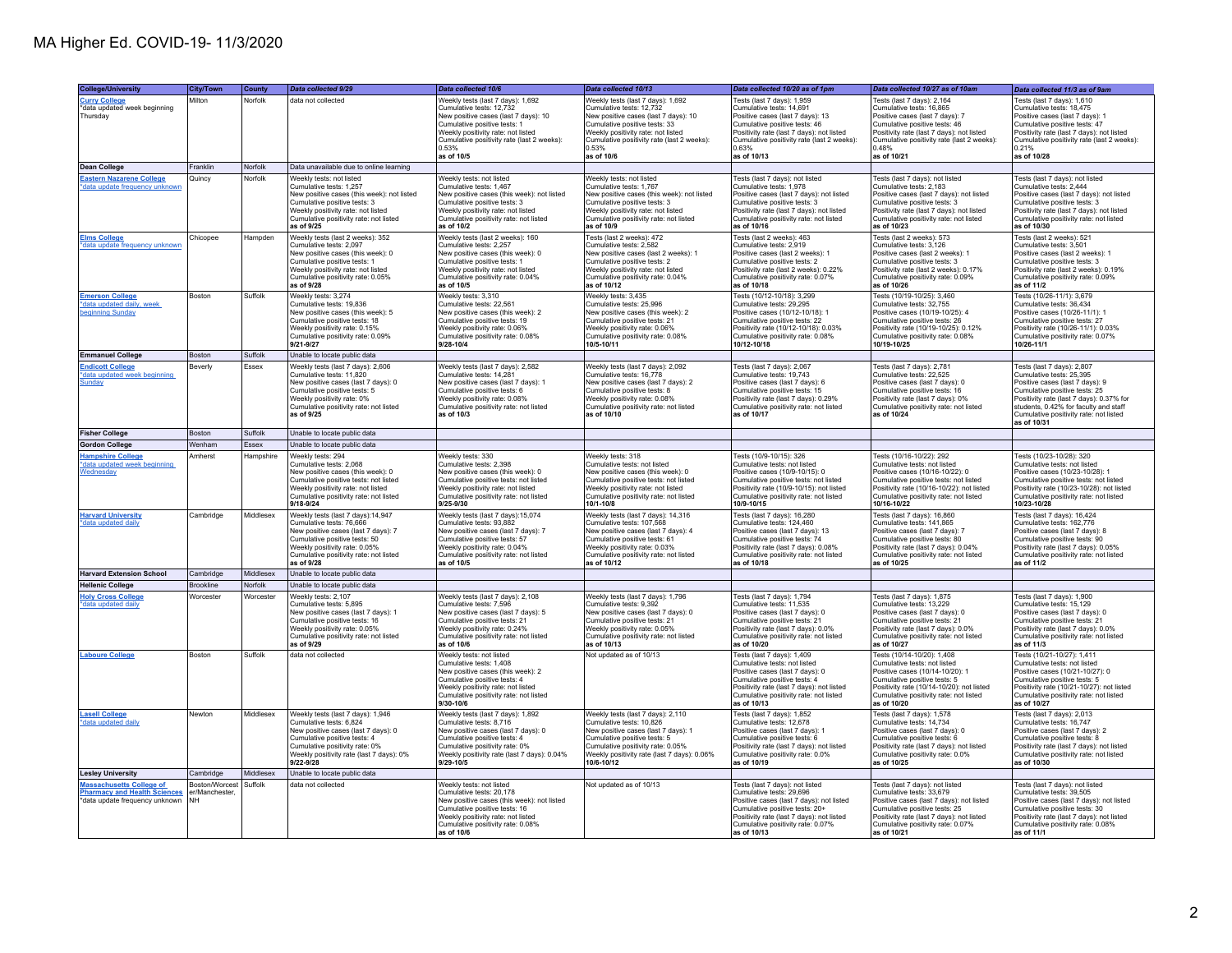| <b>College/University</b>                                                                                | City/Town                                     | <b>County</b>    | Data collected 9/29                                                                                                                                                                                                             | Data collected 10/6                                                                                                                                                                                                                              | Data collected 10/13                                                                                                                                                                                                                              | Data collected 10/20 as of 1pm                                                                                                                                                                                                                 | Data collected 10/27 as of 10am                                                                                                                                                                                                               | Data collected 11/3 as of 9am                                                                                                                                                                                                                                            |
|----------------------------------------------------------------------------------------------------------|-----------------------------------------------|------------------|---------------------------------------------------------------------------------------------------------------------------------------------------------------------------------------------------------------------------------|--------------------------------------------------------------------------------------------------------------------------------------------------------------------------------------------------------------------------------------------------|---------------------------------------------------------------------------------------------------------------------------------------------------------------------------------------------------------------------------------------------------|------------------------------------------------------------------------------------------------------------------------------------------------------------------------------------------------------------------------------------------------|-----------------------------------------------------------------------------------------------------------------------------------------------------------------------------------------------------------------------------------------------|--------------------------------------------------------------------------------------------------------------------------------------------------------------------------------------------------------------------------------------------------------------------------|
| <b>Curry College</b><br>*data updated week beginning<br>Thursday                                         | Milton                                        | Norfolk          | data not collected                                                                                                                                                                                                              | Weekly tests (last 7 days): 1,692<br>Cumulative tests: 12.732<br>New positive cases (last 7 davs): 10<br>Cumulative positive tests: 1<br>Weekly positivity rate: not listed<br>Cumulative positivity rate (last 2 weeks):<br>0.53%<br>as of 10/5 | Weekly tests (last 7 days): 1,692<br>Cumulative tests: 12.732<br>New positive cases (last 7 days): 10<br>Cumulative positive tests: 33<br>Weekly positivity rate: not listed<br>Cumulative positivity rate (last 2 weeks):<br>0.53%<br>as of 10/6 | Tests (last 7 days): 1,959<br>Cumulative tests: 14.691<br>Positive cases (last 7 days): 13<br>Cumulative positive tests: 46<br>Positivity rate (last 7 days): not listed<br>Cumulative positivity rate (last 2 weeks):<br>0.63%<br>as of 10/13 | Tests (last 7 days): 2,164<br>Cumulative tests: 16.865<br>Positive cases (last 7 days): 7<br>Cumulative positive tests: 46<br>Positivity rate (last 7 days): not listed<br>Cumulative positivity rate (last 2 weeks):<br>0.48%<br>as of 10/21 | Tests (last 7 days): 1,610<br>Cumulative tests: 18.475<br>Positive cases (last 7 days): 1<br>Cumulative positive tests: 47<br>Positivity rate (last 7 days): not listed<br>Cumulative positivity rate (last 2 weeks):<br>0.21%<br>as of 10/28                            |
| <b>Dean College</b>                                                                                      | Franklin                                      | Norfolk          | Data unavailable due to online learning                                                                                                                                                                                         |                                                                                                                                                                                                                                                  |                                                                                                                                                                                                                                                   |                                                                                                                                                                                                                                                |                                                                                                                                                                                                                                               |                                                                                                                                                                                                                                                                          |
| <b>Eastern Nazarene College</b><br>*data update frequency unknowr                                        | Quincy                                        | Norfolk          | Weekly tests: not listed<br>Cumulative tests: 1,257<br>New positive cases (this week): not listed<br>Cumulative positive tests: 3<br>Weekly positivity rate: not listed<br>Cumulative positivity rate: not listed<br>as of 9/25 | Weekly tests: not listed<br>Cumulative tests: 1,467<br>New positive cases (this week): not listed<br>Cumulative positive tests: 3<br>Weekly positivity rate: not listed<br>Cumulative positivity rate: not listed<br>as of 10/2                  | Weekly tests: not listed<br>Cumulative tests: 1,767<br>New positive cases (this week): not listed<br>Cumulative positive tests: 3<br>Weekly positivity rate: not listed<br>Cumulative positivity rate: not listed<br>as of 10/9                   | Tests (last 7 days): not listed<br>Cumulative tests: 1,978<br>Positive cases (last 7 days): not listed<br>Cumulative positive tests: 3<br>Positivity rate (last 7 days): not listed<br>Cumulative positivity rate: not listed<br>as of 10/16   | Tests (last 7 days): not listed<br>Cumulative tests: 2,183<br>Positive cases (last 7 days); not listed<br>Cumulative positive tests: 3<br>Positivity rate (last 7 days): not listed<br>Cumulative positivity rate: not listed<br>as of 10/23  | Tests (last 7 days): not listed<br>Cumulative tests: 2,444<br>Positive cases (last 7 days): not listed<br>Cumulative positive tests: 3<br>Positivity rate (last 7 days): not listed<br>Cumulative positivity rate: not listed<br>as of 10/30                             |
| <b>Elms College</b><br>*data update frequency unknowr                                                    | Chicopee                                      | Hamnden          | Weekly tests (last 2 weeks): 352<br>Cumulative tests: 2,097<br>New positive cases (this week): 0<br>Cumulative positive tests: 1<br>Weekly positivity rate: not listed<br>Cumulative positivity rate: 0.05%<br>as of 9/28       | Weekly tests (last 2 weeks): 160<br>Cumulative tests: 2.257<br>New positive cases (this week): 0<br>Cumulative positive tests: 1<br>Weekly positivity rate: not listed<br>Cumulative positivity rate: 0.04%<br>as of 10/5                        | Tests (last 2 weeks): 472<br>Cumulative tests: 2.582<br>New positive cases (last 2 weeks): 1<br>Cumulative positive tests: 2<br>Weekly positivity rate: not listed<br>Cumulative positivity rate: 0.04%<br>as of 10/12                            | Tests (last 2 weeks): 463<br>Cumulative tests: 2.919<br>Positive cases (last 2 weeks): 1<br>Cumulative positive tests: 2<br>Positivity rate (last 2 weeks): 0.22%<br>Cumulative positivity rate: 0.07%<br>as of 10/18                          | Tests (last 2 weeks): 573<br>Cumulative tests: 3.126<br>Positive cases (last 2 weeks): 1<br>Cumulative positive tests: 3<br>Positivity rate (last 2 weeks): 0.17%<br>Cumulative positivity rate: 0.09%<br>as of 10/26                         | Tests (last 2 weeks): 521<br>Cumulative tests: 3.501<br>Positive cases (last 2 weeks): 1<br>Cumulative positive tests: 3<br>Positivity rate (last 2 weeks): 0.19%<br>Cumulative positivity rate: 0.09%<br>as of 11/2                                                     |
| <b>Emerson College</b><br>*data updated daily, week<br>beginning Sunday                                  | <b>Boston</b>                                 | Suffolk          | Weekly tests: 3,274<br>Cumulative tests: 19,836<br>New positive cases (this week): 5<br>Cumulative positive tests: 18<br>Weekly positivity rate: 0.15%<br>Cumulative positivity rate: 0.09%<br>9/21-9/27                        | Weekly tests: 3,310<br>Cumulative tests: 22,561<br>New positive cases (this week): 2<br>Cumulative positive tests: 19<br>Weekly positivity rate: 0.06%<br>Cumulative positivity rate: 0.08%<br>$9/28 - 10/4$                                     | Weekly tests: 3,435<br>Cumulative tests: 25,996<br>New positive cases (this week): 2<br>Cumulative positive tests: 21<br>Weekly positivity rate: 0.06%<br>Cumulative positivity rate: 0.08%<br>10/5-10/11                                         | Tests (10/12-10/18): 3,299<br>Cumulative tests: 29,295<br>Positive cases (10/12-10/18): 1<br>Cumulative positive tests: 22<br>Positivity rate (10/12-10/18): 0.03%<br>Cumulative positivity rate: 0.08%<br>10/12-10/18                         | Tests (10/19-10/25): 3,460<br>Cumulative tests: 32,755<br>Positive cases (10/19-10/25): 4<br>Cumulative positive tests: 26<br>Positivity rate (10/19-10/25): 0.12%<br>Cumulative positivity rate: 0.08%<br>10/19-10/25                        | Tests (10/26-11/1): 3,679<br>Cumulative tests: 36,434<br>Positive cases (10/26-11/1): 1<br>Cumulative positive tests: 27<br>Positivity rate (10/26-11/1): 0.03%<br>Cumulative positivity rate: 0.07%<br>10/26-11/1                                                       |
| <b>Emmanuel College</b>                                                                                  | Boston                                        | Suffolk          | Unable to locate public data                                                                                                                                                                                                    |                                                                                                                                                                                                                                                  |                                                                                                                                                                                                                                                   |                                                                                                                                                                                                                                                |                                                                                                                                                                                                                                               |                                                                                                                                                                                                                                                                          |
| <b>Endicott College</b><br>*data updated week beginning<br>Sundav                                        | Beverly                                       | Essex            | Weekly tests (last 7 days): 2,606<br>Cumulative tests: 11.820<br>New positive cases (last 7 days): 0<br>Cumulative positive tests: 5<br>Weekly positivity rate: 0%<br>Cumulative positivity rate: not listed<br>as of 9/25      | Weekly tests (last 7 days): 2,582<br>Cumulative tests: 14.281<br>New positive cases (last 7 days): 1<br>Cumulative positive tests: 6<br>Weekly positivity rate: 0.08%<br>Cumulative positivity rate: not listed<br>as of 10/3                    | Weekly tests (last 7 days): 2,092<br>Cumulative tests: 16.778<br>New positive cases (last 7 days): 2<br>Cumulative positive tests: 8<br>Weekly positivity rate: 0.08%<br>Cumulative positivity rate: not listed<br>as of 10/10                    | Tests (last 7 days): 2,067<br>Cumulative tests: 19.743<br>Positive cases (last 7 days): 6<br>Cumulative positive tests: 15<br>Positivity rate (last 7 days): 0.29%<br>Cumulative positivity rate: not listed<br>as of 10/17                    | Tests (last 7 days): 2,781<br>Cumulative tests: 22.525<br>Positive cases (last 7 days): 0<br>Cumulative positive tests: 16<br>Positivity rate (last 7 days): 0%<br>Cumulative positivity rate: not listed<br>as of 10/24                      | Tests (last 7 days): 2,807<br>Cumulative tests: 25.395<br>Positive cases (last 7 days): 9<br>Cumulative positive tests: 25<br>Positivity rate (last 7 days): 0.37% for<br>students, 0.42% for faculty and staff<br>Cumulative positivity rate: not listed<br>as of 10/31 |
| <b>Fisher College</b>                                                                                    | Boston                                        | Suffolk          | Unable to locate public data                                                                                                                                                                                                    |                                                                                                                                                                                                                                                  |                                                                                                                                                                                                                                                   |                                                                                                                                                                                                                                                |                                                                                                                                                                                                                                               |                                                                                                                                                                                                                                                                          |
| <b>Gordon College</b>                                                                                    | Wenham                                        | Essex            | Unable to locate public data                                                                                                                                                                                                    |                                                                                                                                                                                                                                                  |                                                                                                                                                                                                                                                   |                                                                                                                                                                                                                                                |                                                                                                                                                                                                                                               |                                                                                                                                                                                                                                                                          |
| <b>Hampshire College</b><br>*data updated week beginning<br>Wednesday                                    | Amherst                                       | Hampshire        | Weekly tests: 294<br>Cumulative tests: 2,068<br>New positive cases (this week): 0<br>Cumulative positive tests: not listed<br>Weekly positivity rate: not listed<br>Cumulative positivity rate: not listed<br>$9/18 - 9/24$     | Weekly tests: 330<br>Cumulative tests: 2,398<br>New positive cases (this week): 0<br>Cumulative positive tests: not listed<br>Weekly positivity rate: not listed<br>Cumulative positivity rate: not listed<br>$9/25 - 9/30$                      | Weekly tests: 318<br>Cumulative tests: not listed<br>New positive cases (this week): 0<br>Cumulative nositive tests: not listed<br>Weekly positivity rate: not listed<br>Cumulative positivity rate: not listed<br>10/1-10/8                      | Tests (10/9-10/15): 326<br>Cumulative tests: not listed<br>Positive cases (10/9-10/15): 0<br>Cumulative positive tests: not listed<br>Positivity rate (10/9-10/15); not listed<br>Cumulative positivity rate: not listed<br>10/9-10/15         | Tests (10/16-10/22): 292<br>Cumulative tests: not listed<br>Positive cases (10/16-10/22): 0<br>Cumulative positive tests: not listed<br>Positivity rate (10/16-10/22); not listed<br>Cumulative positivity rate: not listed<br>10/16-10/22    | Tests (10/23-10/28): 320<br>Cumulative tests: not listed<br>Positive cases (10/23-10/28): 1<br>Cumulative positive tests: not listed<br>Positivity rate (10/23-10/28); not listed<br>Cumulative positivity rate: not listed<br>10/23-10/28                               |
| <b>Harvard University</b><br>*data updated daily                                                         | Cambridge                                     | Middlesex        | Weekly tests (last 7 days): 14,947<br>Cumulative tests: 76.666<br>New positive cases (last 7 days): 7<br>Cumulative positive tests: 50<br>Weekly positivity rate: 0.05%<br>Cumulative positivity rate: not listed<br>as of 9/28 | Weekly tests (last 7 days):15,074<br>Cumulative tests: 93.882<br>New positive cases (last 7 days): 7<br>Cumulative positive tests: 57<br>Weekly positivity rate: 0.04%<br>Cumulative positivity rate: not listed<br>as of 10/5                   | Weekly tests (last 7 days): 14,316<br>Cumulative tests: 107.568<br>New positive cases (last 7 days): 4<br>Cumulative positive tests: 61<br>Weekly positivity rate: 0.03%<br>Cumulative positivity rate: not listed<br>as of 10/12                 | Tests (last 7 days): 16,280<br>Cumulative tests: 124,460<br>Positive cases (last 7 days): 13<br>Cumulative positive tests: 74<br>Positivity rate (last 7 days): 0.08%<br>Cumulative positivity rate: not listed<br>as of 10/18                 | Tests (last 7 days): 16,860<br>Cumulative tests: 141,865<br>Positive cases (last 7 days): 7<br>Cumulative positive tests: 80<br>Positivity rate (last 7 days): 0.04%<br>Cumulative positivity rate: not listed<br>as of 10/25                 | Tests (last 7 days): 16,424<br>Cumulative tests: 162.776<br>Positive cases (last 7 days): 8<br>Cumulative positive tests: 90<br>Positivity rate (last 7 days): 0.05%<br>Cumulative positivity rate: not listed<br>as of 11/2                                             |
| <b>Harvard Extension School</b>                                                                          | Cambridge                                     | Middlesex        | Unable to locate public data                                                                                                                                                                                                    |                                                                                                                                                                                                                                                  |                                                                                                                                                                                                                                                   |                                                                                                                                                                                                                                                |                                                                                                                                                                                                                                               |                                                                                                                                                                                                                                                                          |
| <b>Hellenic College</b>                                                                                  | Brookline                                     | Norfolk          | Unable to locate public data                                                                                                                                                                                                    |                                                                                                                                                                                                                                                  |                                                                                                                                                                                                                                                   |                                                                                                                                                                                                                                                |                                                                                                                                                                                                                                               |                                                                                                                                                                                                                                                                          |
| <b>Holy Cross College</b><br>*data updated daily                                                         | Worcester                                     | <b>Norcester</b> | Weekly tests: 2,107<br>Cumulative tests: 5,895<br>New positive cases (last 7 days): 1<br>Cumulative positive tests: 16<br>Weekly positivity rate: 0.05%<br>Cumulative positivity rate: not listed<br>as of 9/29                 | Weekly tests (last 7 days): 2,108<br>Cumulative tests: 7.596<br>New positive cases (last 7 days): 5<br>Cumulative positive tests: 21<br>Weekly positivity rate: 0.24%<br>Cumulative positivity rate: not listed<br>as of 10/6                    | Weekly tests (last 7 days): 1,796<br>Cumulative tests: 9,392<br>New positive cases (last 7 days): 0<br>Cumulative positive tests: 21<br>Weekly positivity rate: 0.05%<br>Cumulative positivity rate: not listed<br>as of 10/13                    | Tests (last 7 days): 1,794<br>Cumulative tests: 11.535<br>Positive cases (last 7 days): 0<br>Cumulative positive tests: 21<br>Positivity rate (last 7 days): 0.0%<br>Cumulative positivity rate: not listed<br>as of 10/20                     | Tests (last 7 days): 1.875<br>Cumulative tests: 13.229<br>Positive cases (last 7 days): 0<br>Cumulative positive tests: 21<br>Positivity rate (last 7 days): 0.0%<br>Cumulative positivity rate: not listed<br>as of 10/27                    | Tests (last 7 days): 1.900<br>Cumulative tests: 15.129<br>Positive cases (last 7 days): 0<br>Cumulative positive tests: 21<br>Positivity rate (last 7 days): 0.0%<br>Cumulative positivity rate: not listed<br>as of 11/3                                                |
| <b>Laboure College</b>                                                                                   | Boston                                        | Suffolk          | data not collected                                                                                                                                                                                                              | Weekly tests: not listed<br>Cumulative tests: 1,408<br>New positive cases (this week): 2<br>Cumulative positive tests: 4<br>Weekly positivity rate: not listed<br>Cumulative positivity rate: not listed<br>$9/30 - 10/6$                        | Not updated as of 10/13                                                                                                                                                                                                                           | Tests (last 7 days): 1,409<br>Cumulative tests: not listed<br>Positive cases (last 7 days): 0<br>Cumulative positive tests: 4<br>Positivity rate (last 7 days): not listed<br>Cumulative positivity rate: not listed<br>as of 10/13            | Tests (10/14-10/20): 1,408<br>Cumulative tests: not listed<br>Positive cases (10/14-10/20): 1<br>Cumulative nositive tests: 5<br>Positivity rate (10/14-10/20): not listed<br>Cumulative positivity rate: not listed<br>as of 10/20           | Tests (10/21-10/27): 1,411<br>Cumulative tests: not listed<br>Positive cases (10/21-10/27): 0<br>Cumulative positive tests: 5<br>Positivity rate (10/21-10/27): not listed<br>Cumulative positivity rate: not listed<br>as of 10/27                                      |
| <b>Lasell College</b><br>*data updated daily                                                             | Newton                                        | Middlesex        | Weekly tests (last 7 days): 1,946<br>Cumulative tests: 6.824<br>New positive cases (last 7 days): 0<br>Cumulative positive tests: 4<br>Cumulative positivity rate: 0%<br>Weekly positivity rate (last 7 days): 0%<br>9/22-9/28  | Weekly tests (last 7 days): 1,892<br>Cumulative tests: 8.716<br>New positive cases (last 7 days): 0<br>Cumulative positive tests: 4<br>Cumulative positivity rate: 0%<br>Weekly positivity rate (last 7 days): 0.04%<br>$9/29 - 10/5$            | Weekly tests (last 7 days): 2,110<br>Cumulative tests: 10.826<br>New positive cases (last 7 days): 1<br>Cumulative positive tests: 5<br>Cumulative positivity rate: 0.05%<br>Weekly positivity rate (last 7 days): 0.06%<br>10/6-10/12            | Tests (last 7 days): 1,852<br>Cumulative tests: 12.678<br>Positive cases (last 7 days): 1<br>Cumulative positive tests: 6<br>Positivity rate (last 7 days): not listed<br>Cumulative positivity rate: 0.0%<br>as of 10/19                      | Tests (last 7 days): 1,578<br>Cumulative tests: 14.734<br>Positive cases (last 7 days): 0<br>Cumulative positive tests: 6<br>Positivity rate (last 7 days): not listed<br>Cumulative positivity rate: 0.0%<br>as of 10/25                     | Tests (last 7 days): 2,013<br>Cumulative tests: 16,747<br>Positive cases (last 7 days): 2<br>Cumulative positive tests: 8<br>Positivity rate (last 7 days): not listed<br>Cumulative positivity rate: not listed<br>as of 10/30                                          |
| <b>Lesley University</b>                                                                                 | Cambridge                                     | Middlesex        | Unable to locate public data                                                                                                                                                                                                    |                                                                                                                                                                                                                                                  |                                                                                                                                                                                                                                                   |                                                                                                                                                                                                                                                |                                                                                                                                                                                                                                               |                                                                                                                                                                                                                                                                          |
| <b>Massachusetts College of</b><br><b>Pharmacy and Health Sciences</b><br>*data update frequency unknown | Boston/Worcest<br>er/Manchester,<br><b>NH</b> | Suffolk          | data not collected                                                                                                                                                                                                              | Weekly tests: not listed<br>Cumulative tests: 20,178<br>New positive cases (this week): not listed<br>Cumulative positive tests: 16<br>Weekly positivity rate: not listed<br>Cumulative positivity rate: 0.08%<br>as of 10/6                     | Not updated as of 10/13                                                                                                                                                                                                                           | Tests (last 7 days): not listed<br>Cumulative tests: 29,696<br>Positive cases (last 7 days): not listed<br>Cumulative positive tests: 20+<br>Positivity rate (last 7 days): not listed<br>Cumulative positivity rate: 0.07%<br>as of 10/13     | Tests (last 7 days): not listed<br>Cumulative tests: 33,679<br>Positive cases (last 7 days): not listed<br>Cumulative nositive tests: 25<br>Positivity rate (last 7 days); not listed<br>Cumulative positivity rate: 0.07%<br>as of 10/21     | Tests (last 7 days): not listed<br>Cumulative tests: 39,505<br>Positive cases (last 7 days): not listed<br>Cumulative positive tests: 30<br>Positivity rate (last 7 days): not listed<br>Cumulative positivity rate: 0.08%<br>as of 11/1                                 |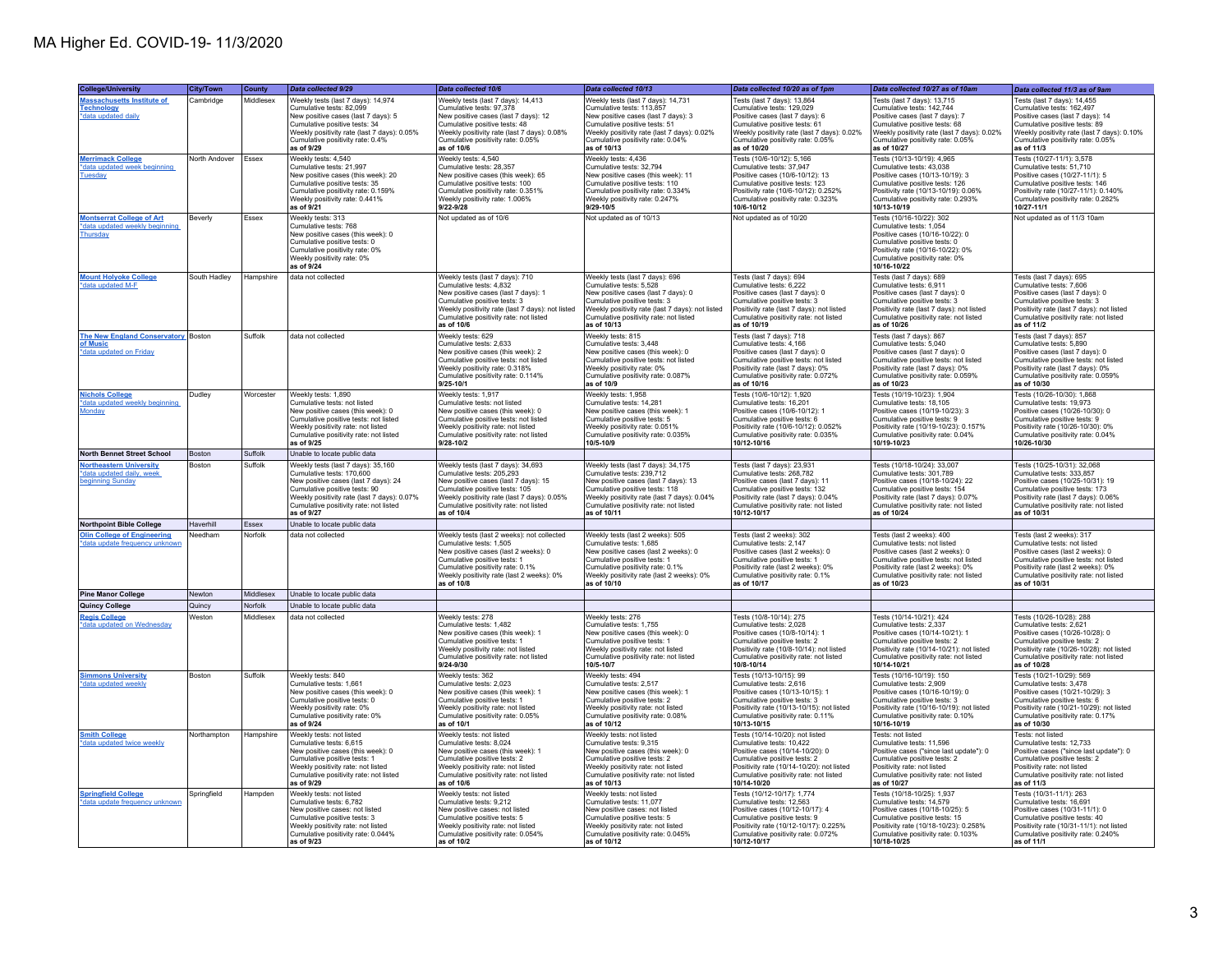| <b>College/University</b>                                                             | City/Town                  | <b>County</b>      | Data collected 9/29                                                                                                                                                                                                                                            | Data collected 10/6                                                                                                                                                                                                                                              | Data collected 10/13                                                                                                                                                                                                                                              | Data collected 10/20 as of 1pm                                                                                                                                                                                                                               | Data collected 10/27 as of 10am                                                                                                                                                                                                                               | Data collected 11/3 as of 9am                                                                                                                                                                                                                                |
|---------------------------------------------------------------------------------------|----------------------------|--------------------|----------------------------------------------------------------------------------------------------------------------------------------------------------------------------------------------------------------------------------------------------------------|------------------------------------------------------------------------------------------------------------------------------------------------------------------------------------------------------------------------------------------------------------------|-------------------------------------------------------------------------------------------------------------------------------------------------------------------------------------------------------------------------------------------------------------------|--------------------------------------------------------------------------------------------------------------------------------------------------------------------------------------------------------------------------------------------------------------|---------------------------------------------------------------------------------------------------------------------------------------------------------------------------------------------------------------------------------------------------------------|--------------------------------------------------------------------------------------------------------------------------------------------------------------------------------------------------------------------------------------------------------------|
| <b>Massachusetts Institute of</b><br><b>Technology</b><br>*data undated daily         | Cambridge<br>North Andover | Middlesex<br>Essex | Weekly tests (last 7 days): 14.974<br>Cumulative tests: 82,099<br>New positive cases (last 7 days): 5<br>Cumulative positive tests: 34<br>Weekly positivity rate (last 7 days): 0.05%<br>Cumulative positivity rate: 0.4%<br>as of 9/29<br>Weekly tests: 4,540 | Weekly tests (last 7 days): 14,413<br>Cumulative tests: 97,378<br>New positive cases (last 7 days): 12<br>Cumulative positive tests: 48<br>Weekly positivity rate (last 7 days): 0.08%<br>Cumulative positivity rate: 0.05%<br>as of 10/6<br>Weekly tests: 4,540 | Weekly tests (last 7 days): 14,731<br>Cumulative tests: 113,857<br>New positive cases (last 7 days): 3<br>Cumulative positive tests: 51<br>Weekly positivity rate (last 7 days): 0.02%<br>Cumulative positivity rate: 0.04%<br>as of 10/13<br>Weekly tests: 4,436 | Fests (last 7 days): 13,864<br>Cumulative tests: 129,029<br>Positive cases (last 7 days): 6<br>Cumulative positive tests: 61<br>Weekly positivity rate (last 7 days): 0.02%<br>Cumulative positivity rate: 0.05%<br>as of 10/20<br>Tests (10/6-10/12): 5,166 | Fests (last 7 days): 13,715<br>Cumulative tests: 142,744<br>Positive cases (last 7 days): 7<br>Cumulative positive tests: 68<br>Weekly positivity rate (last 7 days): 0.02%<br>Cumulative positivity rate: 0.05%<br>as of 10/27<br>Tests (10/13-10/19): 4,965 | Tests (last 7 days): 14,455<br>Cumulative tests: 162,497<br>Positive cases (last 7 days): 14<br>Cumulative positive tests: 89<br>Weekly positivity rate (last 7 days): 0.10%<br>Cumulative positivity rate: 0.05%<br>as of 11/3<br>Tests (10/27-11/1): 3,578 |
| <b>Merrimack College</b><br>*data updated week beginning<br><b>Tuesday</b>            |                            |                    | Cumulative tests: 21,997<br>New positive cases (this week): 20<br>Cumulative positive tests: 35<br>Cumulative positivity rate: 0.159%<br>Weekly positivity rate: 0.441%<br>as of 9/21                                                                          | Cumulative tests: 28,357<br>New positive cases (this week): 65<br>Cumulative positive tests: 100<br>Cumulative positivity rate: 0.351%<br>Weekly positivity rate: 1.006%<br>$9/22 - 9/28$                                                                        | Cumulative tests: 32,794<br>New positive cases (this week): 11<br>Cumulative positive tests: 110<br>Cumulative positivity rate: 0.334%<br>Weekly positivity rate: 0.247%<br>$9/29 - 10/5$                                                                         | Cumulative tests: 37,947<br>Positive cases (10/6-10/12): 13<br>Cumulative positive tests: 123<br>Positivity rate (10/6-10/12): 0.252%<br>Cumulative positivity rate: 0.323%<br>10/6-10/12                                                                    | Cumulative tests: 43,038<br>Positive cases (10/13-10/19): 3<br>Cumulative positive tests: 126<br>Positivity rate (10/13-10/19): 0.06%<br>Cumulative positivity rate: 0.293%<br>10/13-10/19                                                                    | Cumulative tests: 51,710<br>Positive cases (10/27-11/1): 5<br>Cumulative positive tests: 146<br>Positivity rate (10/27-11/1): 0.140%<br>Cumulative positivity rate: 0.282%<br>10/27-11/1                                                                     |
| <b>Montserrat College of Art</b><br>*data updated weekly beginning<br><b>Thursdav</b> | Beverly                    | Essex              | Weekly tests: 313<br>Cumulative tests: 768<br>New positive cases (this week): 0<br>Cumulative positive tests: 0<br>Cumulative positivity rate: 0%<br>Weekly positivity rate: 0%<br>as of 9/24                                                                  | Not updated as of 10/6                                                                                                                                                                                                                                           | Not updated as of 10/13                                                                                                                                                                                                                                           | Not updated as of 10/20                                                                                                                                                                                                                                      | Tests (10/16-10/22): 302<br>Cumulative tests: 1,054<br>Positive cases (10/16-10/22): 0<br>Cumulative positive tests: 0<br>Positivity rate (10/16-10/22): 0%<br>Cumulative positivity rate: 0%<br>10/16-10/22                                                  | Not updated as of 11/3 10am                                                                                                                                                                                                                                  |
| <b>Mount Holyoke College</b><br>*data updated M-F                                     | South Hadley               | Hampshire          | data not collected                                                                                                                                                                                                                                             | Weekly tests (last 7 days): 710<br>Cumulative tests: 4,832<br>New positive cases (last 7 days): 1<br>Cumulative positive tests: 3<br>Weekly positivity rate (last 7 days): not listed<br>Cumulative positivity rate: not listed<br>as of 10/6                    | Weekly tests (last 7 days): 696<br>Cumulative tests: 5,528<br>New positive cases (last 7 days): 0<br>Cumulative positive tests: 3<br>Weekly positivity rate (last 7 days); not listed<br>Cumulative positivity rate: not listed<br>as of 10/13                    | Tests (last 7 days): 694<br>Cumulative tests: 6,222<br>Positive cases (last 7 days): 0<br>Cumulative positive tests: 3<br>Positivity rate (last 7 days): not listed<br>Cumulative positivity rate: not listed<br>as of 10/19                                 | Tests (last 7 days): 689<br>Cumulative tests: 6,911<br>Positive cases (last 7 days): 0<br>Cumulative positive tests: 3<br>Positivity rate (last 7 days): not listed<br>Cumulative positivity rate: not listed<br>as of 10/26                                  | Tests (last 7 days): 695<br>Cumulative tests: 7,606<br>Positive cases (last 7 days): 0<br>Cumulative positive tests: 3<br>Positivity rate (last 7 days): not listed<br>Cumulative positivity rate: not listed<br>as of 11/2                                  |
| <b>The New England Conservatory Boston</b><br>of Music<br>*data undated on Friday     |                            | Suffolk            | data not collected                                                                                                                                                                                                                                             | Weekly tests: 629<br>Cumulative tests: 2,633<br>New positive cases (this week): 2<br>Cumulative positive tests: not listed<br>Weekly positivity rate: 0.318%<br>Cumulative positivity rate: 0.114%<br>$9/25 - 10/1$                                              | Weekly tests: 815<br>Cumulative tests: 3,448<br>New positive cases (this week): 0<br>Cumulative positive tests: not listed<br>Weekly positivity rate: 0%<br>Cumulative positivity rate: 0.087%<br>as of 10/9                                                      | Tests (last 7 days): 718<br>Cumulative tests: 4,166<br>Positive cases (last 7 days): 0<br>Cumulative positive tests: not listed<br>Positivity rate (last 7 days): 0%<br>Cumulative positivity rate: 0.072%<br>as of 10/16                                    | Tests (last 7 days): 867<br>Cumulative tests: 5,040<br>Positive cases (last 7 days): 0<br>Cumulative positive tests: not listed<br>Positivity rate (last 7 days): 0%<br>Cumulative positivity rate: 0.059%<br>as of 10/23                                     | Tests (last 7 days): 857<br>Cumulative tests: 5,890<br>Positive cases (last 7 days): 0<br>Cumulative positive tests: not listed<br>Positivity rate (last 7 days): 0%<br>Cumulative positivity rate: 0.059%<br>as of 10/30                                    |
| <b>Nichols College</b><br>data updated weekly beginning<br>Monday                     | Dudley                     | Worcester          | Weekly tests: 1,890<br>Cumulative tests: not listed<br>New positive cases (this week): 0<br>Cumulative positive tests; not listed<br>Weekly positivity rate: not listed<br>Cumulative positivity rate: not listed<br>as of 9/25                                | Weekly tests: 1,917<br>Cumulative tests: not listed<br>New positive cases (this week): 0<br>Cumulative positive tests; not listed<br>Weekly positivity rate: not listed<br>Cumulative positivity rate: not listed<br>9/28-10/2                                   | Weekly tests: 1,958<br>Cumulative tests: 14,281<br>New positive cases (this week): 1<br>Cumulative positive tests: 5<br>Weekly positivity rate: 0.051%<br>Cumulative positivity rate: 0.035%<br>10/5-10/9                                                         | Tests (10/6-10/12): 1,920<br>Cumulative tests: 16,201<br>Positive cases (10/6-10/12): 1<br>Cumulative positive tests: 6<br>Positivity rate (10/6-10/12): 0.052%<br>Cumulative positivity rate: 0.035%<br>10/12-10/16                                         | Tests (10/19-10/23): 1,904<br>Cumulative tests: 18,105<br>Positive cases (10/19-10/23): 3<br>Cumulative positive tests: 9<br>Positivity rate (10/19-10/23): 0.157%<br>Cumulative positivity rate: 0.04%<br>10/19-10/23                                        | Tests (10/26-10/30): 1,868<br>Cumulative tests: 19,973<br>Positive cases (10/26-10/30): 0<br>Cumulative positive tests: 9<br>Positivity rate (10/26-10/30): 0%<br>Cumulative positivity rate: 0.04%<br>10/26-10/30                                           |
| <b>North Bennet Street School</b>                                                     | Boston                     | Suffolk            | Unable to locate public data                                                                                                                                                                                                                                   |                                                                                                                                                                                                                                                                  |                                                                                                                                                                                                                                                                   |                                                                                                                                                                                                                                                              |                                                                                                                                                                                                                                                               |                                                                                                                                                                                                                                                              |
| <b>Northeastern University</b><br>*data updated daily, week<br>beginning Sunday       | Boston                     | Suffolk            | Weekly tests (last 7 days): 35,160<br>Cumulative tests: 170.600<br>New positive cases (last 7 days): 24<br>Cumulative positive tests: 90<br>Weekly positivity rate (last 7 days): 0.07%<br>Cumulative positivity rate: not listed<br>as of 9/27                | Weekly tests (last 7 days): 34,693<br>Cumulative tests: 205.293<br>New positive cases (last 7 days): 15<br>Cumulative positive tests: 105<br>Weekly positivity rate (last 7 days): 0.05%<br>Cumulative positivity rate: not listed<br>as of 10/4                 | Weekly tests (last 7 days): 34,175<br>Cumulative tests: 239.712<br>New positive cases (last 7 days): 13<br>Cumulative positive tests: 118<br>Weekly positivity rate (last 7 days): 0.04%<br>Cumulative positivity rate: not listed<br>as of 10/11                 | Fests (last 7 days): 23,931<br>Cumulative tests: 268.782<br>Positive cases (last 7 days): 11<br>Cumulative positive tests: 132<br>Positivity rate (last 7 days): 0.04%<br>Cumulative positivity rate: not listed<br>10/12-10/17                              | Tests (10/18-10/24): 33,007<br>Cumulative tests: 301.789<br>Positive cases (10/18-10/24): 22<br>Cumulative positive tests: 154<br>Positivity rate (last 7 days): 0.07%<br>Cumulative positivity rate: not listed<br>as of 10/24                               | Tests (10/25-10/31): 32,068<br>Cumulative tests: 333.857<br>Positive cases (10/25-10/31): 19<br>Cumulative positive tests: 173<br>Positivity rate (last 7 days): 0.06%<br>Cumulative positivity rate: not listed<br>as of 10/31                              |
| <b>Northpoint Bible College</b>                                                       | Haverhill                  | Essex              | Unable to locate public data                                                                                                                                                                                                                                   |                                                                                                                                                                                                                                                                  |                                                                                                                                                                                                                                                                   |                                                                                                                                                                                                                                                              |                                                                                                                                                                                                                                                               |                                                                                                                                                                                                                                                              |
| <b>Olin College of Engineering</b><br>data update frequency unknowr                   | Needham                    | Norfolk            | data not collected                                                                                                                                                                                                                                             | Weekly tests (last 2 weeks): not collected<br>Cumulative tests: 1,505<br>New positive cases (last 2 weeks): 0<br>Cumulative positive tests: 1<br>Cumulative positivity rate: 0.1%<br>Weekly positivity rate (last 2 weeks): 0%<br>as of 10/8                     | Weekly tests (last 2 weeks): 505<br>Cumulative tests: 1,685<br>New positive cases (last 2 weeks): 0<br>Cumulative positive tests: 1<br>Cumulative positivity rate: 0.1%<br>Weekly positivity rate (last 2 weeks): 0%<br>as of 10/10                               | Tests (last 2 weeks): 302<br>Cumulative tests: 2,147<br>Positive cases (last 2 weeks): 0<br>Cumulative positive tests: 1<br>Positivity rate (last 2 weeks): 0%<br>Cumulative positivity rate: 0.1%<br>as of 10/17                                            | Tests (last 2 weeks): 400<br>Cumulative tests: not listed<br>Positive cases (last 2 weeks): 0<br>Cumulative positive tests: not listed<br>Positivity rate (last 2 weeks): 0%<br>Cumulative positivity rate: not listed<br>as of 10/23                         | Tests (last 2 weeks): 317<br>Cumulative tests: not listed<br>Positive cases (last 2 weeks): 0<br>Cumulative positive tests: not listed<br>Positivity rate (last 2 weeks): 0%<br>Cumulative positivity rate: not listed<br>as of 10/31                        |
| <b>Pine Manor College</b>                                                             | Newton                     | Middlesex          | Unable to locate public data                                                                                                                                                                                                                                   |                                                                                                                                                                                                                                                                  |                                                                                                                                                                                                                                                                   |                                                                                                                                                                                                                                                              |                                                                                                                                                                                                                                                               |                                                                                                                                                                                                                                                              |
| <b>Quincy College</b>                                                                 | Quincy                     | Norfolk            | Unable to locate public data                                                                                                                                                                                                                                   |                                                                                                                                                                                                                                                                  |                                                                                                                                                                                                                                                                   |                                                                                                                                                                                                                                                              |                                                                                                                                                                                                                                                               |                                                                                                                                                                                                                                                              |
| <b>Regis College</b><br>*data updated on Wednesday                                    | Weston                     | Middlesex          | data not collected                                                                                                                                                                                                                                             | Weekly tests: 278<br>Cumulative tests: 1,482<br>New positive cases (this week): 1<br>Cumulative positive tests: 1<br>Weekly positivity rate: not listed<br>Cumulative positivity rate: not listed<br>$9/24 - 9/30$                                               | Weekly tests: 276<br>Cumulative tests: 1,755<br>New positive cases (this week): 0<br>Cumulative positive tests: 1<br>Weekly positivity rate: not listed<br>Cumulative positivity rate: not listed<br>10/5-10/7                                                    | Tests (10/8-10/14): 275<br>Cumulative tests: 2,028<br>Positive cases (10/8-10/14): 1<br>Cumulative positive tests: 2<br>Positivity rate (10/8-10/14): not listed<br>Cumulative positivity rate: not listed<br>10/8-10/14                                     | Tests (10/14-10/21): 424<br>Cumulative tests: 2,337<br>Positive cases (10/14-10/21): 1<br>Cumulative positive tests: 2<br>Positivity rate (10/14-10/21): not listed<br>Cumulative positivity rate: not listed<br>10/14-10/21                                  | Tests (10/26-10/28): 288<br>Cumulative tests: 2,621<br>Positive cases (10/26-10/28): 0<br>Cumulative positive tests: 2<br>Positivity rate (10/26-10/28): not listed<br>Cumulative positivity rate: not listed<br>as of 10/28                                 |
| <b>Simmons University</b><br>data updated weekly                                      | Boston                     | Suffolk            | Weekly tests: 840<br>Cumulative tests: 1,661<br>New positive cases (this week): 0<br>Cumulative positive tests: 0<br>Weekly positivity rate: 0%<br>Cumulative positivity rate: 0%<br>as of 9/24                                                                | Weekly tests: 362<br>Cumulative tests: 2,023<br>New positive cases (this week): 1<br>Cumulative positive tests: 1<br>Weekly positivity rate: not listed<br>Cumulative positivity rate: 0.05%<br>as of 10/1                                                       | Weekly tests: 494<br>Cumulative tests: 2,517<br>New positive cases (this week): 1<br>Cumulative positive tests: 2<br>Weekly positivity rate: not listed<br>Cumulative positivity rate: 0.08%<br>as of 10/12                                                       | Tests (10/13-10/15): 99<br>Cumulative tests: 2,616<br>Positive cases (10/13-10/15): 1<br>Cumulative positive tests: 3<br>Positivity rate (10/13-10/15): not listed<br>Cumulative positivity rate: 0.11%<br>10/13-10/15                                       | Tests (10/16-10/19): 150<br>Cumulative tests: 2,909<br>Positive cases (10/16-10/19): 0<br>Cumulative positive tests: 3<br>Positivity rate (10/16-10/19): not listed<br>Cumulative positivity rate: 0.10%<br>10/16-10/19                                       | Tests (10/21-10/29): 569<br>Cumulative tests: 3,478<br>Positive cases (10/21-10/29): 3<br>Cumulative positive tests: 6<br>Positivity rate (10/21-10/29): not listed<br>Cumulative positivity rate: 0.17%<br>as of 10/30                                      |
| <b>Smith College</b><br>*data updated twice weekly                                    | Northampton                | Hampshire          | Weekly tests: not listed<br>Cumulative tests: 6,615<br>New positive cases (this week): 0<br>Cumulative positive tests: 1<br>Weekly positivity rate: not listed<br>Cumulative positivity rate: not listed<br>as of 9/29                                         | Weekly tests: not listed<br>Cumulative tests: 8.024<br>New positive cases (this week): 1<br>Cumulative positive tests: 2<br>Weekly positivity rate: not listed<br>Cumulative positivity rate: not listed<br>as of 10/6                                           | Weekly tests: not listed<br>Cumulative tests: 9,315<br>New positive cases (this week): 0<br>Cumulative positive tests: 2<br>Weekly positivity rate: not listed<br>Cumulative positivity rate: not listed<br>as of 10/13                                           | Tests (10/14-10/20): not listed<br>Cumulative tests: 10,422<br>Positive cases (10/14-10/20): 0<br>Cumulative positive tests: 2<br>Positivity rate (10/14-10/20): not listed<br>Cumulative positivity rate: not listed<br>10/14-10/20                         | Tests: not listed<br>Cumulative tests: 11,596<br>Positive cases ("since last update"): 0<br>Cumulative positive tests: 2<br>Positivity rate: not listed<br>Cumulative positivity rate: not listed<br>as of 10/27                                              | Tests: not listed<br>Cumulative tests: 12,733<br>Positive cases ("since last update"): 0<br>Cumulative positive tests: 2<br>Positivity rate: not listed<br>Cumulative positivity rate: not listed<br>as of 11/3                                              |
| <b>Springfield College</b><br>*data update frequency unknown                          | Springfield                | Hampden            | Weekly tests: not listed<br>Cumulative tests: 6,782<br>New positive cases: not listed<br>Cumulative positive tests: 3<br>Weekly positivity rate: not listed<br>Cumulative positivity rate: 0.044%<br>as of 9/23                                                | Weekly tests: not listed<br>Cumulative tests: 9.212<br>New positive cases: not listed<br>Cumulative positive tests: 5<br>Weekly positivity rate: not listed<br>Cumulative positivity rate: 0.054%<br>as of 10/2                                                  | Weekly tests: not listed<br>Cumulative tests: 11,077<br>New positive cases: not listed<br>Cumulative positive tests: 5<br>Weekly positivity rate: not listed<br>Cumulative positivity rate: 0.045%<br>as of 10/12                                                 | Tests (10/12-10/17): 1,774<br>Cumulative tests: 12,563<br>Positive cases (10/12-10/17): 4<br>Cumulative positive tests: 9<br>Positivity rate (10/12-10/17): 0.225%<br>Cumulative positivity rate: 0.072%<br>10/12-10/17                                      | Tests (10/18-10/25): 1,937<br>Cumulative tests: 14,579<br>Positive cases (10/18-10/25): 5<br>Cumulative positive tests: 15<br>Positivity rate (10/18-10/23): 0.258%<br>Cumulative positivity rate: 0.103%<br>10/18-10/25                                      | Tests (10/31-11/1): 263<br>Cumulative tests: 16,691<br>Positive cases (10/31-11/1): 0<br>Cumulative positive tests: 40<br>Positivity rate (10/31-11/1): not listed<br>Cumulative positivity rate: 0.240%<br>as of 11/1                                       |